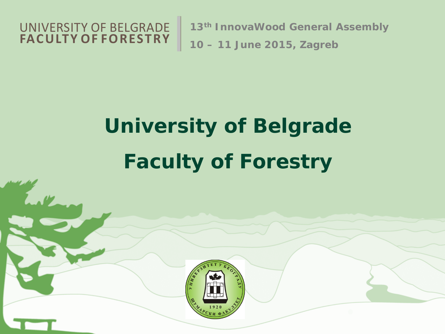

**13th InnovaWood General Assembly**

**10 – 11 June 2015, Zagreb**

# **University of Belgrade Faculty of Forestry**

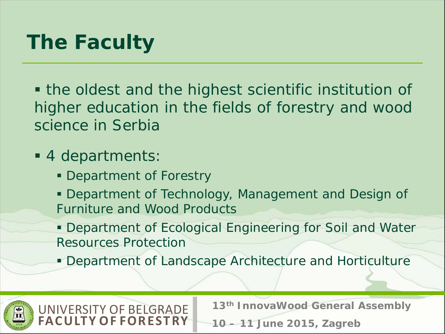# *The Faculty*

 the oldest and the highest scientific institution of higher education in the fields of forestry and wood science in Serbia

#### 4 departments:

UNIVERSITY OF BELGRADE

**Y OF FORESTRY** 

- Department of Forestry
- Department of Technology, Management and Design of Furniture and Wood Products
- Department of Ecological Engineering for Soil and Water Resources Protection
- **Department of Landscape Architecture and Horticulture**

**13th InnovaWood General Assembly**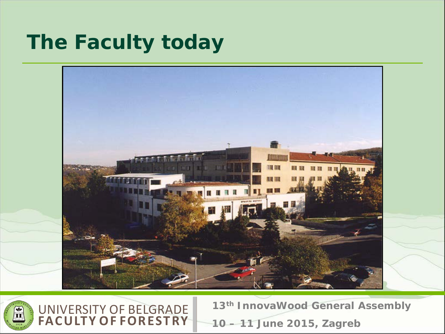## *The Faculty today*





**13th InnovaWood General Assembly 10 – 11 June 2015, Zagreb**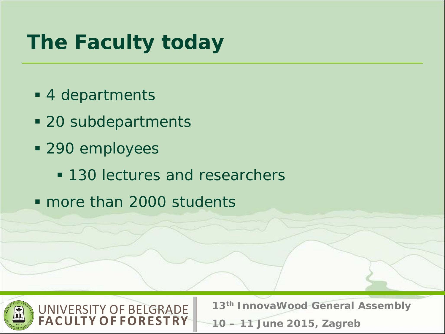# *The Faculty today*

- 4 departments
- 20 subdepartments

UNIVERSITY OF BELGRADE

- **290 employees** 
	- **130 lectures and researchers**
- more than 2000 students

**Y OF FORESTRY** 



**13th InnovaWood General Assembly**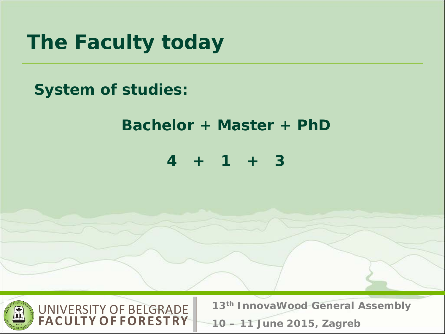

#### **System of studies:**

#### **Bachelor + Master + PhD**

**4 + 1 + 3**



**13th InnovaWood General Assembly**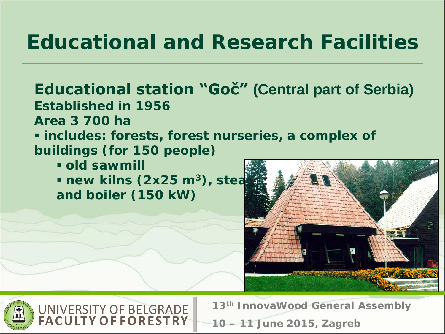### *Educational and Research Facilities*

#### **Educational station "Goč" (Central part of Serbia)**

**Established in 1956**

**Area 3 700 ha**

 **includes: forests, forest nurseries, a complex of buildings (for 150 people)**

**old sawmill**

 $\blacksquare$  new kilns (2x25 m<sup>3</sup>), stea **and boiler (150 kW)**





**13th InnovaWood General Assembly 10 – 11 June 2015, Zagreb**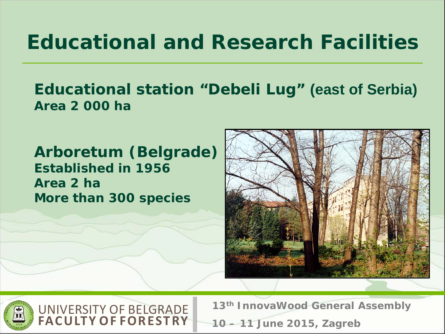### *Educational and Research Facilities*

#### **Educational station "Debeli Lug" (east of Serbia) Area 2 000 ha**

**Arboretum (Belgrade) Established in 1956 Area 2 ha More than 300 species**

**FACULTY OF FOREST RY**





**13th InnovaWood General Assembly 10 – 11 June 2015, Zagreb**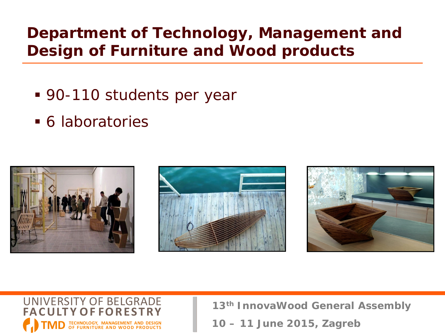#### **Department of Technology, Management and Design of Furniture and Wood products**

- 90-110 students per year
- 6 laboratories









**13th InnovaWood General Assembly**